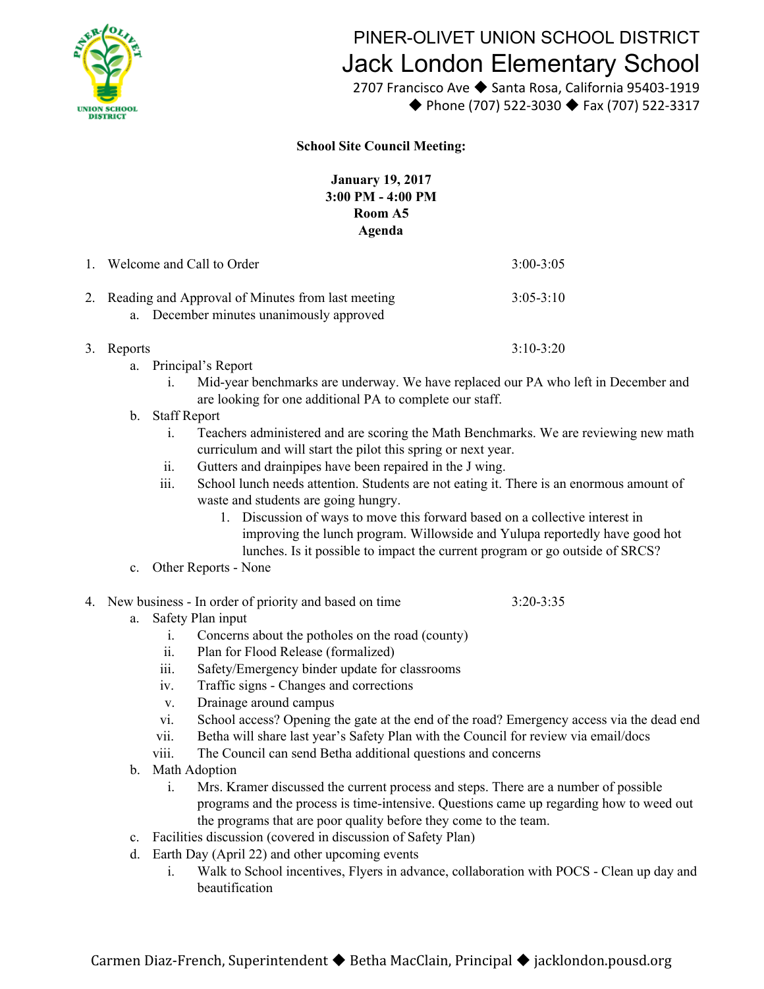

## PINER-OLIVET UNION SCHOOL DISTRICT Jack London Elementary School

 2707 Francisco Ave ◆ Santa Rosa, California 95403-1919 ◆ Phone (707) 522-3030 ◆ Fax (707) 522-3317

## **School Site Council Meeting:**

**January 19, 2017 3:00 PM - 4:00 PM Room A5 Agenda**

| 1. Welcome and Call to Order                                                                     | $3:00 - 3:05$ |
|--------------------------------------------------------------------------------------------------|---------------|
| 2. Reading and Approval of Minutes from last meeting<br>a. December minutes unanimously approved | $3:05-3:10$   |
| 3. Reports                                                                                       | $3:10-3:20$   |

- a. Principal's Report
	- i. Mid-year benchmarks are underway. We have replaced our PA who left in December and are looking for one additional PA to complete our staff.
- b. Staff Report
	- i. Teachers administered and are scoring the Math Benchmarks. We are reviewing new math curriculum and will start the pilot this spring or next year.
	- ii. Gutters and drainpipes have been repaired in the J wing.
	- iii. School lunch needs attention. Students are not eating it. There is an enormous amount of waste and students are going hungry.
		- 1. Discussion of ways to move this forward based on a collective interest in improving the lunch program. Willowside and Yulupa reportedly have good hot lunches. Is it possible to impact the current program or go outside of SRCS?
- c. Other Reports None
- 4. New business In order of priority and based on time 3:20-3:35
	- a. Safety Plan input
		- i. Concerns about the potholes on the road (county)
		- ii. Plan for Flood Release (formalized)
		- iii. Safety/Emergency binder update for classrooms
		- iv. Traffic signs Changes and corrections
		- v. Drainage around campus
		- vi. School access? Opening the gate at the end of the road? Emergency access via the dead end
		- vii. Betha will share last year's Safety Plan with the Council for review via email/docs
		- viii. The Council can send Betha additional questions and concerns
	- b. Math Adoption
		- i. Mrs. Kramer discussed the current process and steps. There are a number of possible programs and the process is time-intensive. Questions came up regarding how to weed out the programs that are poor quality before they come to the team.
	- c. Facilities discussion (covered in discussion of Safety Plan)
	- d. Earth Day (April 22) and other upcoming events
		- i. Walk to School incentives, Flyers in advance, collaboration with POCS Clean up day and beautification